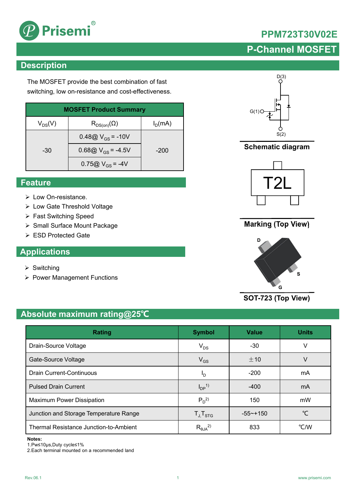

## **PPM723T30V02E**

## **P-Channel MOSFET**

## **Description**

The MOSFET provide the best combination of fast switching, low on-resistance and cost-effectiveness.

| <b>MOSFET Product Summary</b> |                                        |           |  |  |
|-------------------------------|----------------------------------------|-----------|--|--|
| $V_{DS}(V)$                   | $\mathsf{R}_{\mathsf{DS}(on)}(\Omega)$ | $I_D(mA)$ |  |  |
|                               | 0.48@ $V_{GS}$ = -10V                  |           |  |  |
| -30                           | 0.68@ $V_{GS}$ = -4.5V                 | $-200$    |  |  |
|                               | $0.75@V_{GS} = -4V$                    |           |  |  |

### **Feature**

- Low On-resistance.
- Low Gate Threshold Voltage
- ▶ Fast Switching Speed
- ▶ Small Surface Mount Package
- ESD Protected Gate

## **Applications**

- $\triangleright$  Switching
- ▶ Power Management Functions



**Schematic diagram**



### **Marking (Top View)**



**SOT-723 (Top View)**

## **Absolute maximum rating@25℃**

| Rating                                 | <b>Symbol</b>          | <b>Value</b> | <b>Units</b> |
|----------------------------------------|------------------------|--------------|--------------|
| Drain-Source Voltage                   | $V_{DS}$               | $-30$        | V            |
| Gate-Source Voltage                    | $V_{GS}$               | $+10$        | V            |
| <b>Drain Current-Continuous</b>        | םי                     | $-200$       | mA           |
| <b>Pulsed Drain Current</b>            | $I_{DP}$ <sup>1)</sup> | $-400$       | mA           |
| Maximum Power Dissipation              | $P_D^2$                | 150          | mW           |
| Junction and Storage Temperature Range | $T_{J}$ , $T_{STG}$    | $-55$ ~+150  | °C           |
| Thermal Resistance Junction-to-Ambient | $R_{\theta JA}^{2)}$   | 833          | °C/W         |

### **Notes:**

1.Pw≤10μs,Duty cycle≤1%

2.Each terminal mounted on a recommended land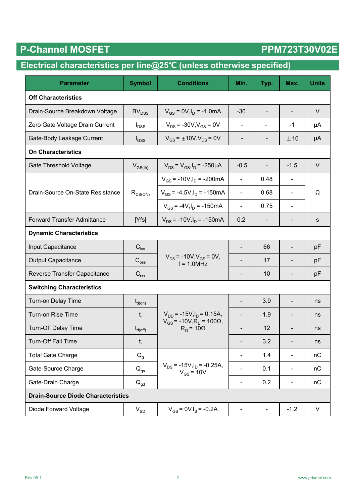# P-Channel MOSFET PPM723T30V02E

## **Electrical characteristics per line@25℃ (unless otherwise specified)**

| <b>Parameter</b>                          | <b>Symbol</b>                                    | <b>Conditions</b>                                           | Min.                     | Typ.                     | Max.                         | <b>Units</b> |  |
|-------------------------------------------|--------------------------------------------------|-------------------------------------------------------------|--------------------------|--------------------------|------------------------------|--------------|--|
| <b>Off Characteristics</b>                |                                                  |                                                             |                          |                          |                              |              |  |
| Drain-Source Breakdown Voltage            | BV <sub>DSS</sub>                                | $V_{GS}$ = 0V, $I_D$ = -1.0mA                               |                          |                          | $\overline{\phantom{a}}$     | $\vee$       |  |
| Zero Gate Voltage Drain Current           | $V_{DS}$ = -30V, $V_{GS}$ = 0V<br>$I_{DSS}$      |                                                             | $\blacksquare$           | $\overline{\phantom{a}}$ | $-1$                         | μA           |  |
| Gate-Body Leakage Current                 | $V_{GS}$ = $\pm$ 10V, $V_{DS}$ = 0V<br>$I_{GSS}$ |                                                             | -                        |                          | ±10                          | μA           |  |
| <b>On Characteristics</b>                 |                                                  |                                                             |                          |                          |                              |              |  |
| <b>Gate Threshold Voltage</b>             | $V_{GS(th)}$                                     | $V_{DS} = V_{GS}I_D = -250 \mu A$                           | $-0.5$                   | $\overline{\phantom{a}}$ | $-1.5$                       | $\vee$       |  |
|                                           |                                                  | $V_{GS}$ = -10V, $I_D$ = -200mA                             | $\blacksquare$           | 0.48                     |                              |              |  |
| Drain-Source On-State Resistance          | $R_{DS(ON)}$                                     | $V_{GS}$ = -4.5V, $I_D$ = -150mA                            | $\blacksquare$           | 0.68                     | ä,                           | Ω            |  |
|                                           |                                                  | $V_{GS}$ = -4V, $I_D$ = -150mA                              | $\blacksquare$           | 0.75                     | ä,                           |              |  |
| <b>Forward Transfer Admittance</b>        | Yfs                                              | $V_{DS}$ = -10V, $I_D$ = -150mA                             | 0.2                      |                          |                              | s            |  |
| <b>Dynamic Characteristics</b>            |                                                  |                                                             |                          |                          |                              |              |  |
| Input Capacitance                         | $\mathbf{C}_{\mathsf{lss}}$                      |                                                             | $\overline{\phantom{a}}$ | 66                       | $\qquad \qquad \blacksquare$ | pF           |  |
| <b>Output Capacitance</b>                 | $\mathbf{C}_{\mathrm{oss}}$                      | $V_{DS}$ = -10V, $V_{GS}$ = 0V,<br>$f = 1.0$ MHz            |                          | 17                       | $\overline{\phantom{0}}$     | pF           |  |
| Reverse Transfer Capacitance              | $\mathbf{C}_{\text{rss}}$                        |                                                             | -                        | 10                       | $\overline{\phantom{a}}$     | pF           |  |
| <b>Switching Characteristics</b>          |                                                  |                                                             |                          |                          |                              |              |  |
| Turn-on Delay Time                        | $t_{d(on)}$                                      |                                                             |                          | 3.9                      | $\blacksquare$               | ns           |  |
| Turn-on Rise Time                         | $t_r$                                            | $V_{DD}$ = -15V, $I_D$ = 0.15A,                             |                          | 1.9                      |                              | ns           |  |
| <b>Turn-Off Delay Time</b>                | $t_{d(\text{off})}$                              | $V_{GS}$ = -10V, R <sub>L</sub> = 100Ω,<br>$R_G = 10\Omega$ |                          | 12                       |                              | ns           |  |
| Turn-Off Fall Time                        | $\mathbf{t}_\mathrm{r}$                          |                                                             |                          | 3.2                      |                              | ns           |  |
| <b>Total Gate Charge</b>                  | $Q_g$                                            |                                                             |                          | 1.4                      |                              | nC           |  |
| Gate-Source Charge                        | $\mathsf{Q}_{\mathsf{gs}}$                       | $V_{DS}$ = -15V, $I_D$ = -0.25A,<br>$V_{GS}$ = 10V          |                          | 0.1                      | $\overline{\phantom{a}}$     | nC           |  |
| Gate-Drain Charge                         | $Q_{\text{gd}}$                                  |                                                             | $\blacksquare$           | 0.2                      | $\qquad \qquad \blacksquare$ | nC           |  |
| <b>Drain-Source Diode Characteristics</b> |                                                  |                                                             |                          |                          |                              |              |  |
| Diode Forward Voltage                     | $V_{SD}$                                         | $V_{GS}$ = 0V, $I_S$ = -0.2A                                | $\blacksquare$           | $\blacksquare$           | $-1.2$                       | V            |  |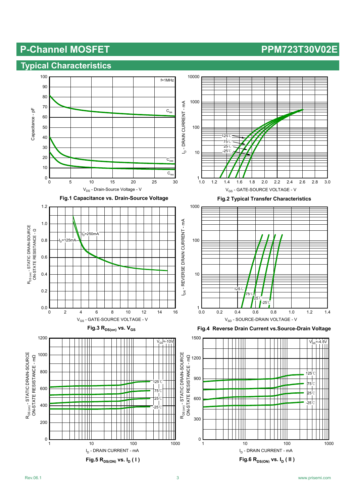### **Typical Characteristics**

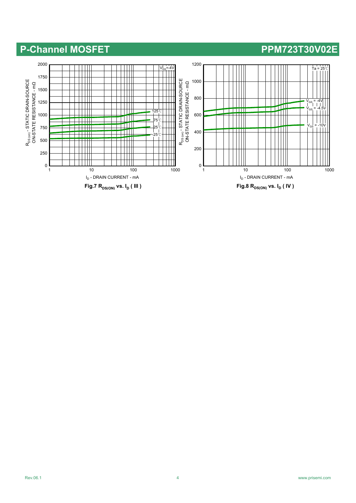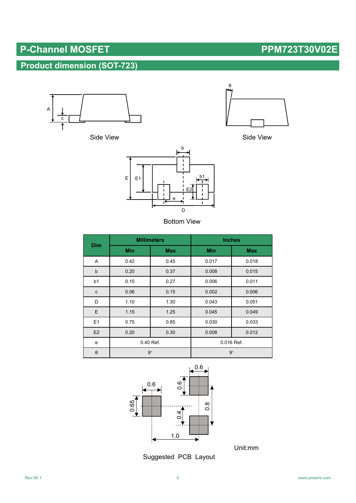## **Product dimension (SOT-723)**



Side View





Side View

| <b>Dim</b>     | <b>Millimeters</b> |            | <b>Inches</b> |            |  |
|----------------|--------------------|------------|---------------|------------|--|
|                | <b>Min</b>         | <b>Max</b> | <b>Min</b>    | <b>Max</b> |  |
| Α              | 0.42               | 0.45       | 0.017         | 0.018      |  |
| $\mathsf b$    | 0.20               | 0.37       | 0.008         | 0.015      |  |
| b <sub>1</sub> | 0.15               | 0.27       | 0.006         | 0.011      |  |
| с              | 0.06               | 0.15       | 0.002         | 0.006      |  |
| D              | 1.10               | 1.30       | 0.043         | 0.051      |  |
| E              | 1.15               | 1.25       | 0.045         | 0.049      |  |
| E1             | 0.75               | 0.85       | 0.030         | 0.033      |  |
| E2             | 0.20               | 0.30       | 0.008         | 0.012      |  |
| e              | 0.40 Ref.          |            | 0.016 Ref.    |            |  |
| $\theta$       | $9^\circ$          |            | $9^\circ$     |            |  |



Unit:mm

Suggested PCB Layout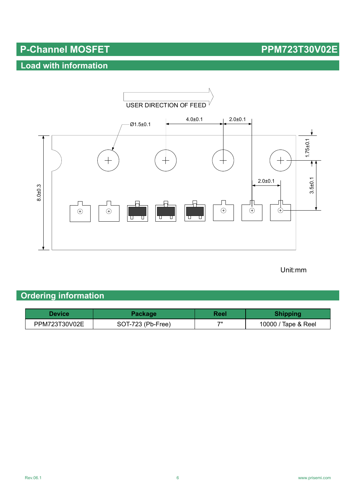## **Load with information**



### Unit:mm

## **Ordering information**

| Device        | Packagel          | Reel | <b>Shipping</b>     |
|---------------|-------------------|------|---------------------|
| PPM723T30V02E | SOT-723 (Pb-Free) | フリ   | 10000 / Tape & Reel |